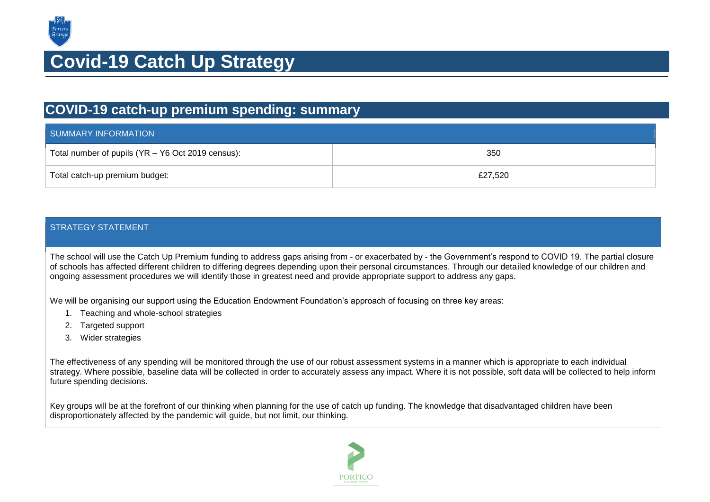

## **Covid-19 Catch Up Strategy**

## **COVID-19 catch-up premium spending: summary**

| SUMMARY INFORMATION                               |         |  |
|---------------------------------------------------|---------|--|
| Total number of pupils (YR - Y6 Oct 2019 census): | 350     |  |
| Total catch-up premium budget:                    | £27,520 |  |

## STRATEGY STATEMENT

The school will use the Catch Up Premium funding to address gaps arising from - or exacerbated by - the Government's respond to COVID 19. The partial closure of schools has affected different children to differing degrees depending upon their personal circumstances. Through our detailed knowledge of our children and ongoing assessment procedures we will identify those in greatest need and provide appropriate support to address any gaps.

We will be organising our support using the Education Endowment Foundation's approach of focusing on three key areas:

- 1. Teaching and whole-school strategies
- 2. Targeted support
- 3. Wider strategies

The effectiveness of any spending will be monitored through the use of our robust assessment systems in a manner which is appropriate to each individual strategy. Where possible, baseline data will be collected in order to accurately assess any impact. Where it is not possible, soft data will be collected to help inform future spending decisions.

Key groups will be at the forefront of our thinking when planning for the use of catch up funding. The knowledge that disadvantaged children have been disproportionately affected by the pandemic will guide, but not limit, our thinking.

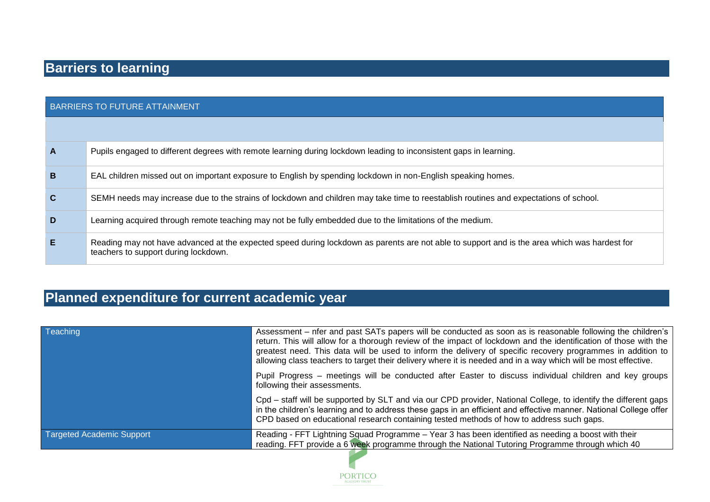| <b>BARRIERS TO FUTURE ATTAINMENT</b> |                                                                                                                                                                                      |  |
|--------------------------------------|--------------------------------------------------------------------------------------------------------------------------------------------------------------------------------------|--|
|                                      |                                                                                                                                                                                      |  |
| $\mathbf{A}$                         | Pupils engaged to different degrees with remote learning during lockdown leading to inconsistent gaps in learning.                                                                   |  |
| $\mathbf B$                          | EAL children missed out on important exposure to English by spending lockdown in non-English speaking homes.                                                                         |  |
| $\mathbf{C}$                         | SEMH needs may increase due to the strains of lockdown and children may take time to reestablish routines and expectations of school.                                                |  |
| D                                    | Learning acquired through remote teaching may not be fully embedded due to the limitations of the medium.                                                                            |  |
| E                                    | Reading may not have advanced at the expected speed during lockdown as parents are not able to support and is the area which was hardest for<br>teachers to support during lockdown. |  |

## **Planned expenditure for current academic year**

| <b>Teaching</b>                  | Assessment – nfer and past SATs papers will be conducted as soon as is reasonable following the children's<br>return. This will allow for a thorough review of the impact of lockdown and the identification of those with the<br>greatest need. This data will be used to inform the delivery of specific recovery programmes in addition to<br>allowing class teachers to target their delivery where it is needed and in a way which will be most effective. |
|----------------------------------|-----------------------------------------------------------------------------------------------------------------------------------------------------------------------------------------------------------------------------------------------------------------------------------------------------------------------------------------------------------------------------------------------------------------------------------------------------------------|
|                                  | Pupil Progress – meetings will be conducted after Easter to discuss individual children and key groups<br>following their assessments.                                                                                                                                                                                                                                                                                                                          |
|                                  | Cpd – staff will be supported by SLT and via our CPD provider, National College, to identify the different gaps<br>in the children's learning and to address these gaps in an efficient and effective manner. National College offer<br>CPD based on educational research containing tested methods of how to address such gaps.                                                                                                                                |
| <b>Targeted Academic Support</b> | Reading - FFT Lightning Squad Programme - Year 3 has been identified as needing a boost with their<br>reading. FFT provide a 6 week programme through the National Tutoring Programme through which 40                                                                                                                                                                                                                                                          |
|                                  |                                                                                                                                                                                                                                                                                                                                                                                                                                                                 |